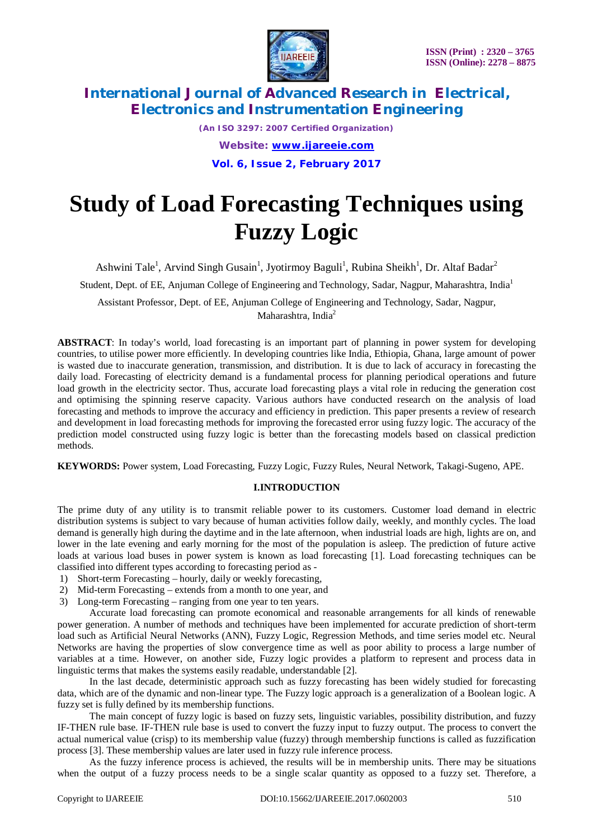

*(An ISO 3297: 2007 Certified Organization) Website: [www.ijareeie.com](http://www.ijareeie.com)* **Vol. 6, Issue 2, February 2017**

# **Study of Load Forecasting Techniques using Fuzzy Logic**

Ashwini Tale<sup>1</sup>, Arvind Singh Gusain<sup>1</sup>, Jyotirmoy Baguli<sup>1</sup>, Rubina Sheikh<sup>1</sup>, Dr. Altaf Badar<sup>2</sup>

Student, Dept. of EE, Anjuman College of Engineering and Technology, Sadar, Nagpur, Maharashtra, India<sup>1</sup>

Assistant Professor, Dept. of EE, Anjuman College of Engineering and Technology, Sadar, Nagpur, Maharashtra, India<sup>2</sup>

**ABSTRACT**: In today's world, load forecasting is an important part of planning in power system for developing countries, to utilise power more efficiently. In developing countries like India, Ethiopia, Ghana, large amount of power is wasted due to inaccurate generation, transmission, and distribution. It is due to lack of accuracy in forecasting the daily load. Forecasting of electricity demand is a fundamental process for planning periodical operations and future load growth in the electricity sector. Thus, accurate load forecasting plays a vital role in reducing the generation cost and optimising the spinning reserve capacity. Various authors have conducted research on the analysis of load forecasting and methods to improve the accuracy and efficiency in prediction. This paper presents a review of research and development in load forecasting methods for improving the forecasted error using fuzzy logic. The accuracy of the prediction model constructed using fuzzy logic is better than the forecasting models based on classical prediction methods.

**KEYWORDS:** Power system, Load Forecasting, Fuzzy Logic, Fuzzy Rules, Neural Network, Takagi-Sugeno, APE.

#### **I.INTRODUCTION**

The prime duty of any utility is to transmit reliable power to its customers. Customer load demand in electric distribution systems is subject to vary because of human activities follow daily, weekly, and monthly cycles. The load demand is generally high during the daytime and in the late afternoon, when industrial loads are high, lights are on, and lower in the late evening and early morning for the most of the population is asleep. The prediction of future active loads at various load buses in power system is known as load forecasting [1]. Load forecasting techniques can be classified into different types according to forecasting period as -

- 1) Short-term Forecasting hourly, daily or weekly forecasting,
- 2) Mid-term Forecasting extends from a month to one year, and
- 3) Long-term Forecasting ranging from one year to ten years.

 Accurate load forecasting can promote economical and reasonable arrangements for all kinds of renewable power generation. A number of methods and techniques have been implemented for accurate prediction of short-term load such as Artificial Neural Networks (ANN), Fuzzy Logic, Regression Methods, and time series model etc. Neural Networks are having the properties of slow convergence time as well as poor ability to process a large number of variables at a time. However, on another side, Fuzzy logic provides a platform to represent and process data in linguistic terms that makes the systems easily readable, understandable [2].

 In the last decade, deterministic approach such as fuzzy forecasting has been widely studied for forecasting data, which are of the dynamic and non-linear type. The Fuzzy logic approach is a generalization of a Boolean logic. A fuzzy set is fully defined by its membership functions.

 The main concept of fuzzy logic is based on fuzzy sets, linguistic variables, possibility distribution, and fuzzy IF-THEN rule base. IF-THEN rule base is used to convert the fuzzy input to fuzzy output. The process to convert the actual numerical value (crisp) to its membership value (fuzzy) through membership functions is called as fuzzification process [3]. These membership values are later used in fuzzy rule inference process.

 As the fuzzy inference process is achieved, the results will be in membership units. There may be situations when the output of a fuzzy process needs to be a single scalar quantity as opposed to a fuzzy set. Therefore, a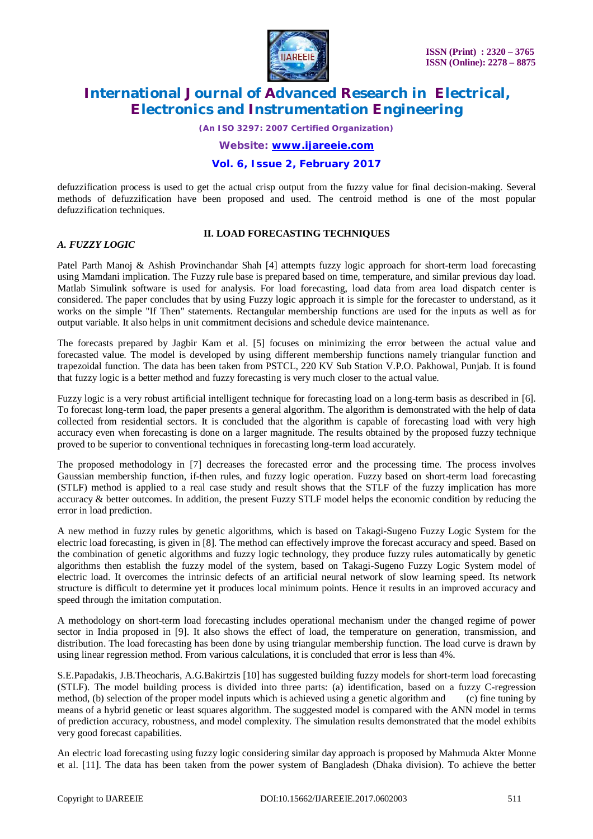

*(An ISO 3297: 2007 Certified Organization)*

*Website: [www.ijareeie.com](http://www.ijareeie.com)*

### **Vol. 6, Issue 2, February 2017**

defuzzification process is used to get the actual crisp output from the fuzzy value for final decision-making. Several methods of defuzzification have been proposed and used. The centroid method is one of the most popular defuzzification techniques.

### **II. LOAD FORECASTING TECHNIQUES**

### *A. FUZZY LOGIC*

Patel Parth Manoj & Ashish Provinchandar Shah [4] attempts fuzzy logic approach for short-term load forecasting using Mamdani implication. The Fuzzy rule base is prepared based on time, temperature, and similar previous day load. Matlab Simulink software is used for analysis. For load forecasting, load data from area load dispatch center is considered. The paper concludes that by using Fuzzy logic approach it is simple for the forecaster to understand, as it works on the simple "If Then" statements. Rectangular membership functions are used for the inputs as well as for output variable. It also helps in unit commitment decisions and schedule device maintenance.

The forecasts prepared by Jagbir Kam et al. [5] focuses on minimizing the error between the actual value and forecasted value. The model is developed by using different membership functions namely triangular function and trapezoidal function. The data has been taken from PSTCL, 220 KV Sub Station V.P.O. Pakhowal, Punjab. It is found that fuzzy logic is a better method and fuzzy forecasting is very much closer to the actual value.

Fuzzy logic is a very robust artificial intelligent technique for forecasting load on a long-term basis as described in [6]. To forecast long-term load, the paper presents a general algorithm. The algorithm is demonstrated with the help of data collected from residential sectors. It is concluded that the algorithm is capable of forecasting load with very high accuracy even when forecasting is done on a larger magnitude. The results obtained by the proposed fuzzy technique proved to be superior to conventional techniques in forecasting long-term load accurately.

The proposed methodology in [7] decreases the forecasted error and the processing time. The process involves Gaussian membership function, if-then rules, and fuzzy logic operation. Fuzzy based on short-term load forecasting (STLF) method is applied to a real case study and result shows that the STLF of the fuzzy implication has more accuracy & better outcomes. In addition, the present Fuzzy STLF model helps the economic condition by reducing the error in load prediction.

A new method in fuzzy rules by genetic algorithms, which is based on Takagi-Sugeno Fuzzy Logic System for the electric load forecasting, is given in [8]. The method can effectively improve the forecast accuracy and speed. Based on the combination of genetic algorithms and fuzzy logic technology, they produce fuzzy rules automatically by genetic algorithms then establish the fuzzy model of the system, based on Takagi-Sugeno Fuzzy Logic System model of electric load. It overcomes the intrinsic defects of an artificial neural network of slow learning speed. Its network structure is difficult to determine yet it produces local minimum points. Hence it results in an improved accuracy and speed through the imitation computation.

A methodology on short-term load forecasting includes operational mechanism under the changed regime of power sector in India proposed in [9]. It also shows the effect of load, the temperature on generation, transmission, and distribution. The load forecasting has been done by using triangular membership function. The load curve is drawn by using linear regression method. From various calculations, it is concluded that error is less than 4%.

S.E.Papadakis, J.B.Theocharis, A.G.Bakirtzis [10] has suggested building fuzzy models for short-term load forecasting (STLF). The model building process is divided into three parts: (a) identification, based on a fuzzy C-regression method, (b) selection of the proper model inputs which is achieved using a genetic algorithm and (c) fine tuning by means of a hybrid genetic or least squares algorithm. The suggested model is compared with the ANN model in terms of prediction accuracy, robustness, and model complexity. The simulation results demonstrated that the model exhibits very good forecast capabilities.

An electric load forecasting using fuzzy logic considering similar day approach is proposed by Mahmuda Akter Monne et al. [11]. The data has been taken from the power system of Bangladesh (Dhaka division). To achieve the better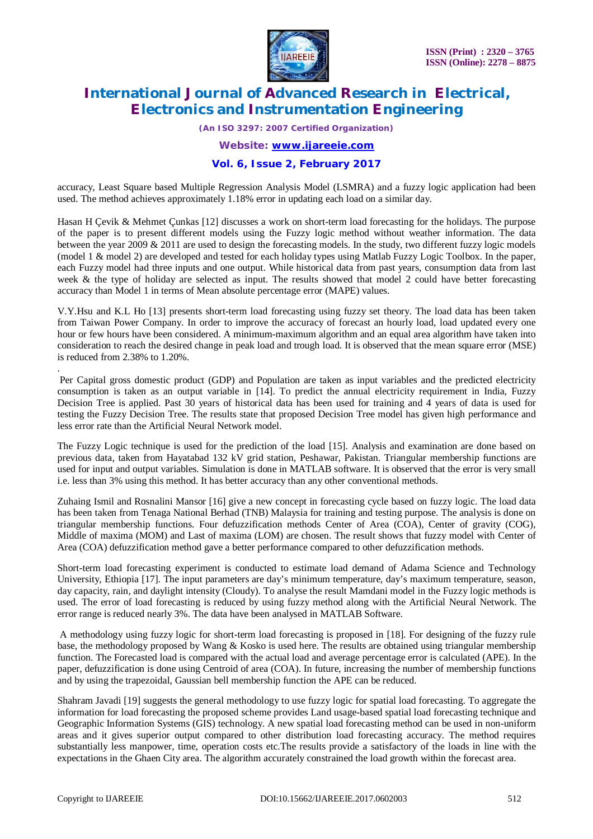

*(An ISO 3297: 2007 Certified Organization)*

*Website: [www.ijareeie.com](http://www.ijareeie.com)*

### **Vol. 6, Issue 2, February 2017**

accuracy, Least Square based Multiple Regression Analysis Model (LSMRA) and a fuzzy logic application had been used. The method achieves approximately 1.18% error in updating each load on a similar day.

Hasan H Çevik & Mehmet Çunkas [12] discusses a work on short-term load forecasting for the holidays. The purpose of the paper is to present different models using the Fuzzy logic method without weather information. The data between the year 2009 & 2011 are used to design the forecasting models. In the study, two different fuzzy logic models (model 1 & model 2) are developed and tested for each holiday types using Matlab Fuzzy Logic Toolbox. In the paper, each Fuzzy model had three inputs and one output. While historical data from past years, consumption data from last week & the type of holiday are selected as input. The results showed that model 2 could have better forecasting accuracy than Model 1 in terms of Mean absolute percentage error (MAPE) values.

V.Y.Hsu and K.L Ho [13] presents short-term load forecasting using fuzzy set theory. The load data has been taken from Taiwan Power Company. In order to improve the accuracy of forecast an hourly load, load updated every one hour or few hours have been considered. A minimum-maximum algorithm and an equal area algorithm have taken into consideration to reach the desired change in peak load and trough load. It is observed that the mean square error (MSE) is reduced from 2.38% to 1.20%.

Per Capital gross domestic product (GDP) and Population are taken as input variables and the predicted electricity consumption is taken as an output variable in [14]. To predict the annual electricity requirement in India, Fuzzy Decision Tree is applied. Past 30 years of historical data has been used for training and 4 years of data is used for testing the Fuzzy Decision Tree. The results state that proposed Decision Tree model has given high performance and less error rate than the Artificial Neural Network model.

The Fuzzy Logic technique is used for the prediction of the load [15]. Analysis and examination are done based on previous data, taken from Hayatabad 132 kV grid station, Peshawar, Pakistan. Triangular membership functions are used for input and output variables. Simulation is done in MATLAB software. It is observed that the error is very small i.e. less than 3% using this method. It has better accuracy than any other conventional methods.

Zuhaing Ismil and Rosnalini Mansor [16] give a new concept in forecasting cycle based on fuzzy logic. The load data has been taken from Tenaga National Berhad (TNB) Malaysia for training and testing purpose. The analysis is done on triangular membership functions. Four defuzzification methods Center of Area (COA), Center of gravity (COG), Middle of maxima (MOM) and Last of maxima (LOM) are chosen. The result shows that fuzzy model with Center of Area (COA) defuzzification method gave a better performance compared to other defuzzification methods.

Short-term load forecasting experiment is conducted to estimate load demand of Adama Science and Technology University, Ethiopia [17]. The input parameters are day's minimum temperature, day's maximum temperature, season, day capacity, rain, and daylight intensity (Cloudy). To analyse the result Mamdani model in the Fuzzy logic methods is used. The error of load forecasting is reduced by using fuzzy method along with the Artificial Neural Network. The error range is reduced nearly 3%. The data have been analysed in MATLAB Software.

A methodology using fuzzy logic for short-term load forecasting is proposed in [18]. For designing of the fuzzy rule base, the methodology proposed by Wang & Kosko is used here. The results are obtained using triangular membership function. The Forecasted load is compared with the actual load and average percentage error is calculated (APE). In the paper, defuzzification is done using Centroid of area (COA). In future, increasing the number of membership functions and by using the trapezoidal, Gaussian bell membership function the APE can be reduced.

Shahram Javadi [19] suggests the general methodology to use fuzzy logic for spatial load forecasting. To aggregate the information for load forecasting the proposed scheme provides Land usage-based spatial load forecasting technique and Geographic Information Systems (GIS) technology. A new spatial load forecasting method can be used in non-uniform areas and it gives superior output compared to other distribution load forecasting accuracy. The method requires substantially less manpower, time, operation costs etc.The results provide a satisfactory of the loads in line with the expectations in the Ghaen City area. The algorithm accurately constrained the load growth within the forecast area.

.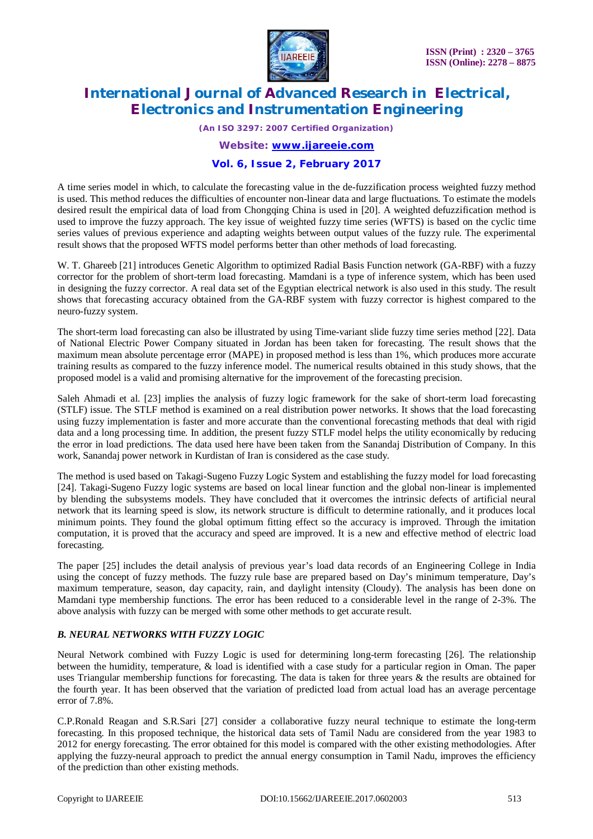

*(An ISO 3297: 2007 Certified Organization)*

*Website: [www.ijareeie.com](http://www.ijareeie.com)*

### **Vol. 6, Issue 2, February 2017**

A time series model in which, to calculate the forecasting value in the de-fuzzification process weighted fuzzy method is used. This method reduces the difficulties of encounter non-linear data and large fluctuations. To estimate the models desired result the empirical data of load from Chongqing China is used in [20]. A weighted defuzzification method is used to improve the fuzzy approach. The key issue of weighted fuzzy time series (WFTS) is based on the cyclic time series values of previous experience and adapting weights between output values of the fuzzy rule. The experimental result shows that the proposed WFTS model performs better than other methods of load forecasting.

W. T. Ghareeb [21] introduces Genetic Algorithm to optimized Radial Basis Function network (GA-RBF) with a fuzzy corrector for the problem of short-term load forecasting. Mamdani is a type of inference system, which has been used in designing the fuzzy corrector. A real data set of the Egyptian electrical network is also used in this study. The result shows that forecasting accuracy obtained from the GA-RBF system with fuzzy corrector is highest compared to the neuro-fuzzy system.

The short-term load forecasting can also be illustrated by using Time-variant slide fuzzy time series method [22]. Data of National Electric Power Company situated in Jordan has been taken for forecasting. The result shows that the maximum mean absolute percentage error (MAPE) in proposed method is less than 1%, which produces more accurate training results as compared to the fuzzy inference model. The numerical results obtained in this study shows, that the proposed model is a valid and promising alternative for the improvement of the forecasting precision.

Saleh Ahmadi et al. [23] implies the analysis of fuzzy logic framework for the sake of short-term load forecasting (STLF) issue. The STLF method is examined on a real distribution power networks. It shows that the load forecasting using fuzzy implementation is faster and more accurate than the conventional forecasting methods that deal with rigid data and a long processing time. In addition, the present fuzzy STLF model helps the utility economically by reducing the error in load predictions. The data used here have been taken from the Sanandaj Distribution of Company. In this work, Sanandaj power network in Kurdistan of Iran is considered as the case study.

The method is used based on Takagi-Sugeno Fuzzy Logic System and establishing the fuzzy model for load forecasting [24]. Takagi-Sugeno Fuzzy logic systems are based on local linear function and the global non-linear is implemented by blending the subsystems models. They have concluded that it overcomes the intrinsic defects of artificial neural network that its learning speed is slow, its network structure is difficult to determine rationally, and it produces local minimum points. They found the global optimum fitting effect so the accuracy is improved. Through the imitation computation, it is proved that the accuracy and speed are improved. It is a new and effective method of electric load forecasting.

The paper [25] includes the detail analysis of previous year's load data records of an Engineering College in India using the concept of fuzzy methods. The fuzzy rule base are prepared based on Day's minimum temperature, Day's maximum temperature, season, day capacity, rain, and daylight intensity (Cloudy). The analysis has been done on Mamdani type membership functions. The error has been reduced to a considerable level in the range of 2-3%. The above analysis with fuzzy can be merged with some other methods to get accurate result.

### *B. NEURAL NETWORKS WITH FUZZY LOGIC*

Neural Network combined with Fuzzy Logic is used for determining long-term forecasting [26]. The relationship between the humidity, temperature, & load is identified with a case study for a particular region in Oman. The paper uses Triangular membership functions for forecasting. The data is taken for three years & the results are obtained for the fourth year. It has been observed that the variation of predicted load from actual load has an average percentage error of 7.8%.

C.P.Ronald Reagan and S.R.Sari [27] consider a collaborative fuzzy neural technique to estimate the long-term forecasting. In this proposed technique, the historical data sets of Tamil Nadu are considered from the year 1983 to 2012 for energy forecasting. The error obtained for this model is compared with the other existing methodologies. After applying the fuzzy-neural approach to predict the annual energy consumption in Tamil Nadu, improves the efficiency of the prediction than other existing methods.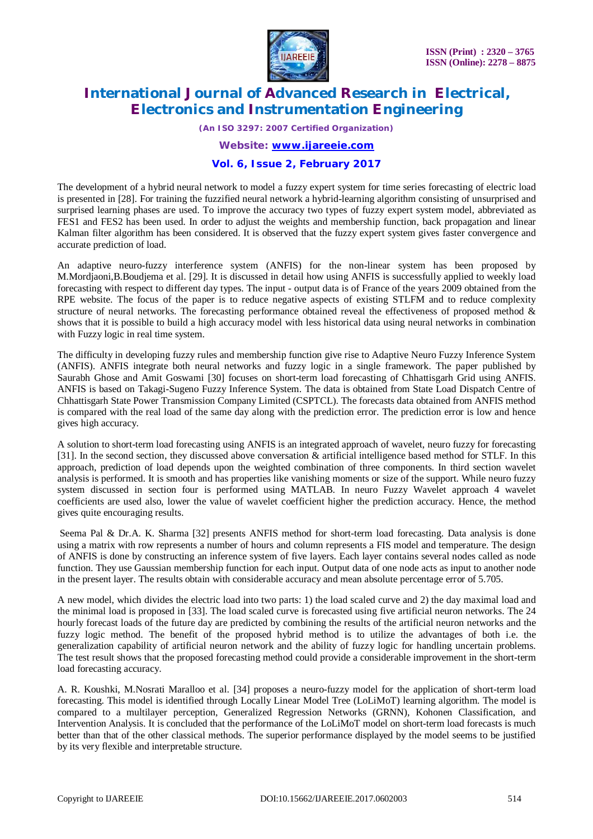

*(An ISO 3297: 2007 Certified Organization)*

*Website: [www.ijareeie.com](http://www.ijareeie.com)*

#### **Vol. 6, Issue 2, February 2017**

The development of a hybrid neural network to model a fuzzy expert system for time series forecasting of electric load is presented in [28]. For training the fuzzified neural network a hybrid-learning algorithm consisting of unsurprised and surprised learning phases are used. To improve the accuracy two types of fuzzy expert system model, abbreviated as FES1 and FES2 has been used. In order to adjust the weights and membership function, back propagation and linear Kalman filter algorithm has been considered. It is observed that the fuzzy expert system gives faster convergence and accurate prediction of load.

An adaptive neuro-fuzzy interference system (ANFIS) for the non-linear system has been proposed by M.Mordjaoni,B.Boudjema et al. [29]. It is discussed in detail how using ANFIS is successfully applied to weekly load forecasting with respect to different day types. The input - output data is of France of the years 2009 obtained from the RPE website. The focus of the paper is to reduce negative aspects of existing STLFM and to reduce complexity structure of neural networks. The forecasting performance obtained reveal the effectiveness of proposed method  $\&$ shows that it is possible to build a high accuracy model with less historical data using neural networks in combination with Fuzzy logic in real time system.

The difficulty in developing fuzzy rules and membership function give rise to Adaptive Neuro Fuzzy Inference System (ANFIS). ANFIS integrate both neural networks and fuzzy logic in a single framework. The paper published by Saurabh Ghose and Amit Goswami [30] focuses on short-term load forecasting of Chhattisgarh Grid using ANFIS. ANFIS is based on Takagi-Sugeno Fuzzy Inference System. The data is obtained from State Load Dispatch Centre of Chhattisgarh State Power Transmission Company Limited (CSPTCL). The forecasts data obtained from ANFIS method is compared with the real load of the same day along with the prediction error. The prediction error is low and hence gives high accuracy.

A solution to short-term load forecasting using ANFIS is an integrated approach of wavelet, neuro fuzzy for forecasting [31]. In the second section, they discussed above conversation & artificial intelligence based method for STLF. In this approach, prediction of load depends upon the weighted combination of three components. In third section wavelet analysis is performed. It is smooth and has properties like vanishing moments or size of the support. While neuro fuzzy system discussed in section four is performed using MATLAB. In neuro Fuzzy Wavelet approach 4 wavelet coefficients are used also, lower the value of wavelet coefficient higher the prediction accuracy. Hence, the method gives quite encouraging results.

Seema Pal & Dr.A. K. Sharma [32] presents ANFIS method for short-term load forecasting. Data analysis is done using a matrix with row represents a number of hours and column represents a FIS model and temperature. The design of ANFIS is done by constructing an inference system of five layers. Each layer contains several nodes called as node function. They use Gaussian membership function for each input. Output data of one node acts as input to another node in the present layer. The results obtain with considerable accuracy and mean absolute percentage error of 5.705.

A new model, which divides the electric load into two parts: 1) the load scaled curve and 2) the day maximal load and the minimal load is proposed in [33]. The load scaled curve is forecasted using five artificial neuron networks. The 24 hourly forecast loads of the future day are predicted by combining the results of the artificial neuron networks and the fuzzy logic method. The benefit of the proposed hybrid method is to utilize the advantages of both i.e. the generalization capability of artificial neuron network and the ability of fuzzy logic for handling uncertain problems. The test result shows that the proposed forecasting method could provide a considerable improvement in the short-term load forecasting accuracy.

A. R. Koushki, M.Nosrati Maralloo et al. [34] proposes a neuro-fuzzy model for the application of short-term load forecasting. This model is identified through Locally Linear Model Tree (LoLiMoT) learning algorithm. The model is compared to a multilayer perception, Generalized Regression Networks (GRNN), Kohonen Classification, and Intervention Analysis. It is concluded that the performance of the LoLiMoT model on short-term load forecasts is much better than that of the other classical methods. The superior performance displayed by the model seems to be justified by its very flexible and interpretable structure.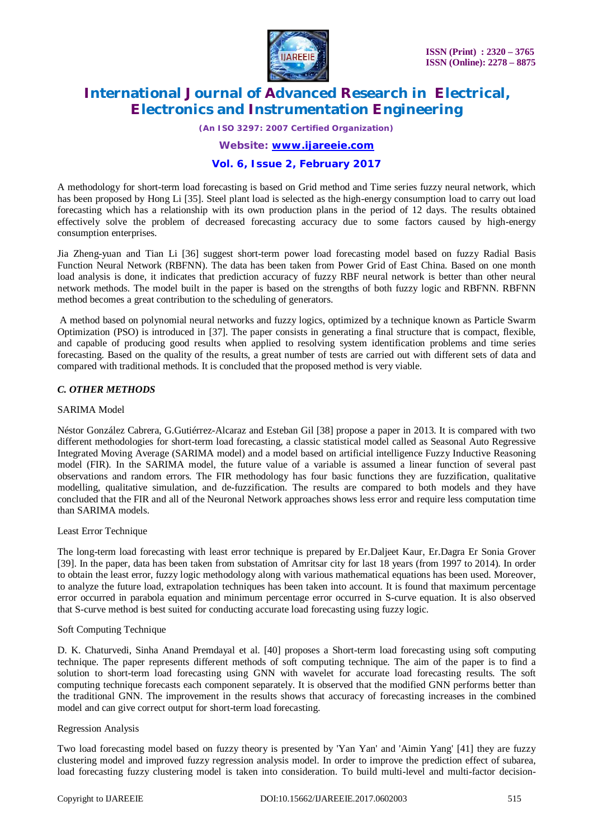

*(An ISO 3297: 2007 Certified Organization)*

*Website: [www.ijareeie.com](http://www.ijareeie.com)*

### **Vol. 6, Issue 2, February 2017**

A methodology for short-term load forecasting is based on Grid method and Time series fuzzy neural network, which has been proposed by Hong Li [35]. Steel plant load is selected as the high-energy consumption load to carry out load forecasting which has a relationship with its own production plans in the period of 12 days. The results obtained effectively solve the problem of decreased forecasting accuracy due to some factors caused by high-energy consumption enterprises.

Jia Zheng-yuan and Tian Li [36] suggest short-term power load forecasting model based on fuzzy Radial Basis Function Neural Network (RBFNN). The data has been taken from Power Grid of East China. Based on one month load analysis is done, it indicates that prediction accuracy of fuzzy RBF neural network is better than other neural network methods. The model built in the paper is based on the strengths of both fuzzy logic and RBFNN. RBFNN method becomes a great contribution to the scheduling of generators.

A method based on polynomial neural networks and fuzzy logics, optimized by a technique known as Particle Swarm Optimization (PSO) is introduced in [37]. The paper consists in generating a final structure that is compact, flexible, and capable of producing good results when applied to resolving system identification problems and time series forecasting. Based on the quality of the results, a great number of tests are carried out with different sets of data and compared with traditional methods. It is concluded that the proposed method is very viable.

#### *C. OTHER METHODS*

#### SARIMA Model

Néstor González Cabrera, G.Gutiérrez-Alcaraz and Esteban Gil [38] propose a paper in 2013. It is compared with two different methodologies for short-term load forecasting, a classic statistical model called as Seasonal Auto Regressive Integrated Moving Average (SARIMA model) and a model based on artificial intelligence Fuzzy Inductive Reasoning model (FIR). In the SARIMA model, the future value of a variable is assumed a linear function of several past observations and random errors. The FIR methodology has four basic functions they are fuzzification, qualitative modelling, qualitative simulation, and de-fuzzification. The results are compared to both models and they have concluded that the FIR and all of the Neuronal Network approaches shows less error and require less computation time than SARIMA models.

#### Least Error Technique

The long-term load forecasting with least error technique is prepared by Er.Daljeet Kaur, Er.Dagra Er Sonia Grover [39]. In the paper, data has been taken from substation of Amritsar city for last 18 years (from 1997 to 2014). In order to obtain the least error, fuzzy logic methodology along with various mathematical equations has been used. Moreover, to analyze the future load, extrapolation techniques has been taken into account. It is found that maximum percentage error occurred in parabola equation and minimum percentage error occurred in S-curve equation. It is also observed that S-curve method is best suited for conducting accurate load forecasting using fuzzy logic.

#### Soft Computing Technique

D. K. Chaturvedi, Sinha Anand Premdayal et al. [40] proposes a Short-term load forecasting using soft computing technique. The paper represents different methods of soft computing technique. The aim of the paper is to find a solution to short-term load forecasting using GNN with wavelet for accurate load forecasting results. The soft computing technique forecasts each component separately. It is observed that the modified GNN performs better than the traditional GNN. The improvement in the results shows that accuracy of forecasting increases in the combined model and can give correct output for short-term load forecasting.

#### Regression Analysis

Two load forecasting model based on fuzzy theory is presented by 'Yan Yan' and 'Aimin Yang' [41] they are fuzzy clustering model and improved fuzzy regression analysis model. In order to improve the prediction effect of subarea, load forecasting fuzzy clustering model is taken into consideration. To build multi-level and multi-factor decision-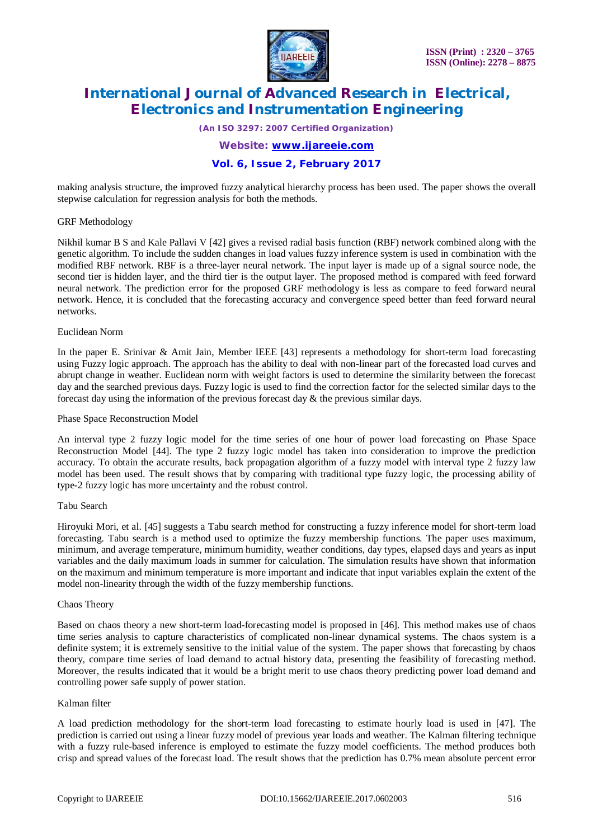

*(An ISO 3297: 2007 Certified Organization)*

*Website: [www.ijareeie.com](http://www.ijareeie.com)*

#### **Vol. 6, Issue 2, February 2017**

making analysis structure, the improved fuzzy analytical hierarchy process has been used. The paper shows the overall stepwise calculation for regression analysis for both the methods.

#### GRF Methodology

Nikhil kumar B S and Kale Pallavi V [42] gives a revised radial basis function (RBF) network combined along with the genetic algorithm. To include the sudden changes in load values fuzzy inference system is used in combination with the modified RBF network. RBF is a three-layer neural network. The input layer is made up of a signal source node, the second tier is hidden layer, and the third tier is the output layer. The proposed method is compared with feed forward neural network. The prediction error for the proposed GRF methodology is less as compare to feed forward neural network. Hence, it is concluded that the forecasting accuracy and convergence speed better than feed forward neural networks.

#### Euclidean Norm

In the paper E. Srinivar & Amit Jain, Member IEEE [43] represents a methodology for short-term load forecasting using Fuzzy logic approach. The approach has the ability to deal with non-linear part of the forecasted load curves and abrupt change in weather. Euclidean norm with weight factors is used to determine the similarity between the forecast day and the searched previous days. Fuzzy logic is used to find the correction factor for the selected similar days to the forecast day using the information of the previous forecast day  $\&$  the previous similar days.

#### Phase Space Reconstruction Model

An interval type 2 fuzzy logic model for the time series of one hour of power load forecasting on Phase Space Reconstruction Model [44]. The type 2 fuzzy logic model has taken into consideration to improve the prediction accuracy. To obtain the accurate results, back propagation algorithm of a fuzzy model with interval type 2 fuzzy law model has been used. The result shows that by comparing with traditional type fuzzy logic, the processing ability of type-2 fuzzy logic has more uncertainty and the robust control.

#### Tabu Search

Hiroyuki Mori, et al. [45] suggests a Tabu search method for constructing a fuzzy inference model for short-term load forecasting. Tabu search is a method used to optimize the fuzzy membership functions. The paper uses maximum, minimum, and average temperature, minimum humidity, weather conditions, day types, elapsed days and years as input variables and the daily maximum loads in summer for calculation. The simulation results have shown that information on the maximum and minimum temperature is more important and indicate that input variables explain the extent of the model non-linearity through the width of the fuzzy membership functions.

#### Chaos Theory

Based on chaos theory a new short-term load-forecasting model is proposed in [46]. This method makes use of chaos time series analysis to capture characteristics of complicated non-linear dynamical systems. The chaos system is a definite system; it is extremely sensitive to the initial value of the system. The paper shows that forecasting by chaos theory, compare time series of load demand to actual history data, presenting the feasibility of forecasting method. Moreover, the results indicated that it would be a bright merit to use chaos theory predicting power load demand and controlling power safe supply of power station.

#### Kalman filter

A load prediction methodology for the short-term load forecasting to estimate hourly load is used in [47]. The prediction is carried out using a linear fuzzy model of previous year loads and weather. The Kalman filtering technique with a fuzzy rule-based inference is employed to estimate the fuzzy model coefficients. The method produces both crisp and spread values of the forecast load. The result shows that the prediction has 0.7% mean absolute percent error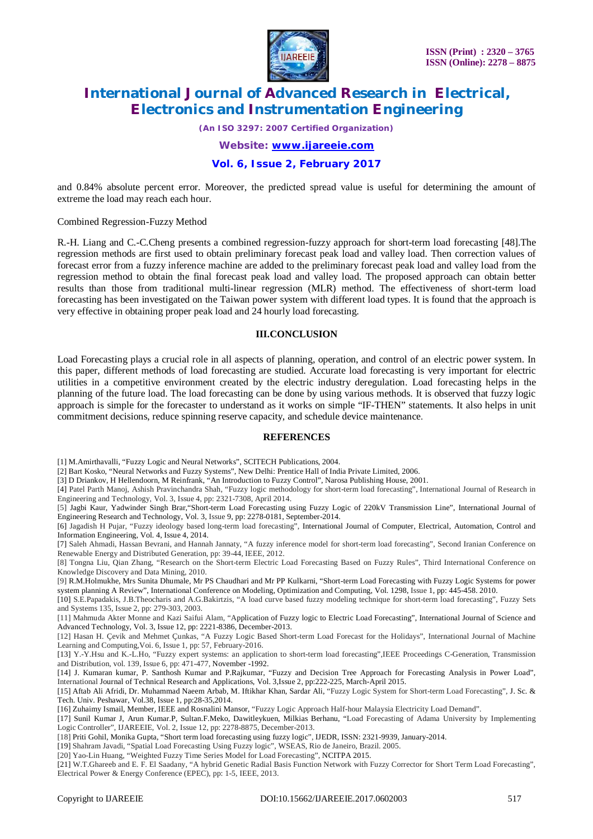

*(An ISO 3297: 2007 Certified Organization)*

*Website: [www.ijareeie.com](http://www.ijareeie.com)*

### **Vol. 6, Issue 2, February 2017**

and 0.84% absolute percent error. Moreover, the predicted spread value is useful for determining the amount of extreme the load may reach each hour.

Combined Regression-Fuzzy Method

R.-H. Liang and C.-C.Cheng presents a combined regression-fuzzy approach for short-term load forecasting [48].The regression methods are first used to obtain preliminary forecast peak load and valley load. Then correction values of forecast error from a fuzzy inference machine are added to the preliminary forecast peak load and valley load from the regression method to obtain the final forecast peak load and valley load. The proposed approach can obtain better results than those from traditional multi-linear regression (MLR) method. The effectiveness of short-term load forecasting has been investigated on the Taiwan power system with different load types. It is found that the approach is very effective in obtaining proper peak load and 24 hourly load forecasting.

#### **III.CONCLUSION**

Load Forecasting plays a crucial role in all aspects of planning, operation, and control of an electric power system. In this paper, different methods of load forecasting are studied. Accurate load forecasting is very important for electric utilities in a competitive environment created by the electric industry deregulation. Load forecasting helps in the planning of the future load. The load forecasting can be done by using various methods. It is observed that fuzzy logic approach is simple for the forecaster to understand as it works on simple "IF-THEN" statements. It also helps in unit commitment decisions, reduce spinning reserve capacity, and schedule device maintenance.

#### **REFERENCES**

[1] M.Amirthavalli, "Fuzzy Logic and Neural Networks", SCITECH Publications, 2004.

[2] Bart Kosko, "Neural Networks and Fuzzy Systems", New Delhi: Prentice Hall of India Private Limited, 2006.

[3] D Driankov, H Hellendoorn, M Reinfrank, "An Introduction to Fuzzy Control", Narosa Publishing House, 2001.

[4] Patel Parth Manoj, Ashish Pravinchandra Shah, "Fuzzy logic methodology for short-term load forecasting", International Journal of Research in Engineering and Technology, Vol. 3, Issue 4, pp: 2321-7308, April 2014.

[5] Jagbi Kaur, Yadwinder Singh Brar,"Short-term Load Forecasting using Fuzzy Logic of 220kV Transmission Line", International Journal of Engineering Research and Technology, Vol. 3, Issue 9, pp: 2278-0181, September-2014.

[6] Jagadish H Pujar, "Fuzzy ideology based long-term load forecasting", International Journal of Computer, Electrical, Automation, Control and Information Engineering, Vol. 4, Issue 4, 2014.

[7] Saleh Ahmadi, Hassan Bevrani, and Hannah Jannaty, "A fuzzy inference model for short-term load forecasting", Second Iranian Conference on Renewable Energy and Distributed Generation, pp: 39-44, IEEE, 2012.

[8] Tongna Liu, Qian Zhang, "Research on the Short-term Electric Load Forecasting Based on Fuzzy Rules", Third International Conference on Knowledge Discovery and Data Mining, 2010.

[9] R.M.Holmukhe, Mrs Sunita Dhumale, Mr PS Chaudhari and Mr PP Kulkarni, "Short-term Load Forecasting with Fuzzy Logic Systems for power system planning A Review", International Conference on Modeling, Optimization and Computing, Vol. 1298, Issue 1, pp: 445-458. 2010.

[10] S.E.Papadakis, J.B.Theocharis and A.G.Bakirtzis, "A load curve based fuzzy modeling technique for short-term load forecasting", Fuzzy Sets and Systems 135, Issue 2, pp: 279-303, 2003.

[11] Mahmuda Akter Monne and Kazi Saifui Alam, "Application of Fuzzy logic to Electric Load Forecasting", International Journal of Science and Advanced Technology, Vol. 3, Issue 12, pp: 2221-8386, December-2013.

[12] Hasan H. Çevik and Mehmet Çunkas, "A Fuzzy Logic Based Short-term Load Forecast for the Holidays", International Journal of Machine Learning and Computing,Voi. 6, Issue 1, pp: 57, February-2016.

[13] Y.-Y.Hsu and K.-L.Ho, "Fuzzy expert systems: an application to short-term load forecasting",IEEE Proceedings C-Generation, Transmission and Distribution, vol. 139, Issue 6, pp: 471-477, November -1992.

[14] J. Kumaran kumar, P. Santhosh Kumar and P.Rajkumar, "Fuzzy and Decision Tree Approach for Forecasting Analysis in Power Load", International Journal of Technical Research and Applications, Vol. 3,Issue 2, pp:222-225, March-April 2015.

[15] Aftab Ali Afridi, Dr. Muhammad Naeem Arbab, M. Iftikhar Khan, Sardar Ali, "Fuzzy Logic System for Short-term Load Forecasting", J. Sc. & Tech. Univ. Peshawar, Vol.38, Issue 1, pp:28-35,2014.

[16] Zuhaimy Ismail, Member, IEEE and Rosnalini Mansor, "Fuzzy Logic Approach Half-hour Malaysia Electricity Load Demand".

[17] Sunil Kumar J, Arun Kumar.P, Sultan.F.Meko, Dawitleykuen, Milkias Berhanu, "Load Forecasting of Adama University by Implementing Logic Controller", IJAREEIE, Vol. 2, Issue 12, pp: 2278-8875, December-2013.

[18] Priti Gohil, Monika Gupta, "Short term load forecasting using fuzzy logic", IJEDR, ISSN: 2321-9939, January-2014.

[19] Shahram Javadi, "Spatial Load Forecasting Using Fuzzy logic", WSEAS, Rio de Janeiro, Brazil. 2005.

[20] Yao-Lin Huang, "Weighted Fuzzy Time Series Model for Load Forecasting", NCITPA 2015.

[21] W.T.Ghareeb and E. F. El Saadany, "A hybrid Genetic Radial Basis Function Network with Fuzzy Corrector for Short Term Load Forecasting", Electrical Power & Energy Conference (EPEC), pp: 1-5, IEEE, 2013.